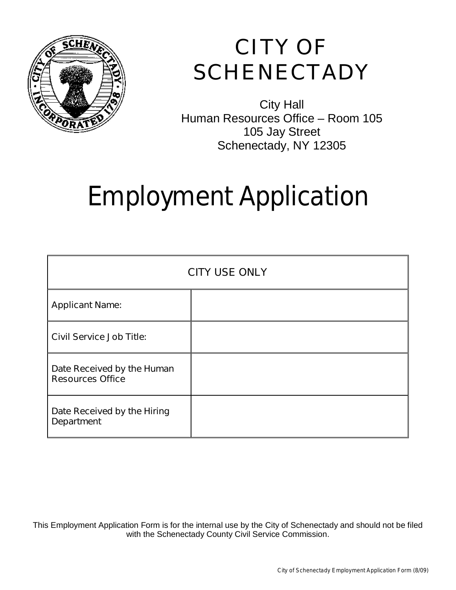

## **CITY OF SCHENECTADY**

City Hall Human Resources Office – Room 105 105 Jay Street Schenectady, NY 12305

## Employment Application

| <b>CITY USE ONLY</b>                                  |  |  |
|-------------------------------------------------------|--|--|
| <b>Applicant Name:</b>                                |  |  |
| <b>Civil Service Job Title:</b>                       |  |  |
| Date Received by the Human<br><b>Resources Office</b> |  |  |
| Date Received by the Hiring<br><b>Department</b>      |  |  |

This Employment Application Form is for the internal use by the City of Schenectady and should not be filed with the Schenectady County Civil Service Commission.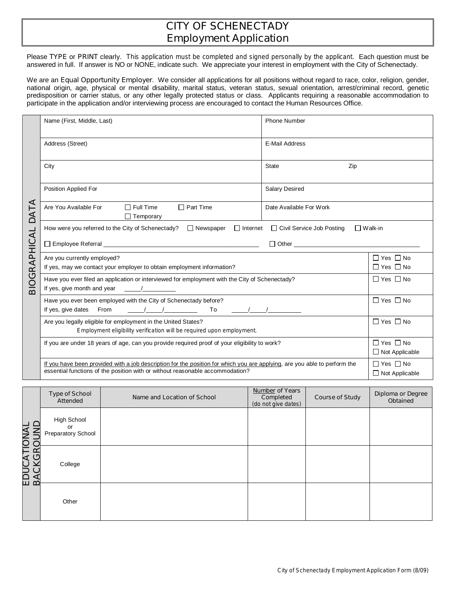## **CITY OF SCHENECTADY Employment Application**

Please **TYPE** or **PRINT** clearly. *This application must be completed and signed personally by the applicant*. Each question must be answered in full. If answer is NO or NONE, indicate such. We appreciate your interest in employment with the City of Schenectady.

We are an **Equal Opportunity Employer**. We consider all applications for all positions without regard to race, color, religion, gender, national origin, age, physical or mental disability, marital status, veteran status, sexual orientation, arrest/criminal record, genetic predisposition or carrier status, or any other legally protected status or class. Applicants requiring a reasonable accommodation to participate in the application and/or interviewing process are encouraged to contact the Human Resources Office.

|                                                                                                                                                | Name (First, Middle, Last)                                                                                                                                                                                                                                  | <b>Phone Number</b>     |                                              |  |
|------------------------------------------------------------------------------------------------------------------------------------------------|-------------------------------------------------------------------------------------------------------------------------------------------------------------------------------------------------------------------------------------------------------------|-------------------------|----------------------------------------------|--|
|                                                                                                                                                | Address (Street)                                                                                                                                                                                                                                            | <b>E-Mail Address</b>   |                                              |  |
|                                                                                                                                                | City                                                                                                                                                                                                                                                        | State<br>Zip            |                                              |  |
|                                                                                                                                                | <b>Position Applied For</b>                                                                                                                                                                                                                                 | <b>Salary Desired</b>   |                                              |  |
| ⋖<br>DAT                                                                                                                                       | $\Box$ Full Time<br>$\Box$ Part Time<br>Are You Available For<br>$\Box$ Temporary                                                                                                                                                                           | Date Available For Work |                                              |  |
| $\Box$ Internet $\Box$ Civil Service Job Posting<br>How were you referred to the City of Schenectady? $\Box$ Newspaper<br>$\Box$ Walk-in       |                                                                                                                                                                                                                                                             |                         |                                              |  |
|                                                                                                                                                |                                                                                                                                                                                                                                                             |                         |                                              |  |
|                                                                                                                                                | Are you currently employed?<br>If yes, may we contact your employer to obtain employment information?                                                                                                                                                       |                         | $\Box$ Yes $\Box$ No<br>$\Box$ Yes $\Box$ No |  |
| <b>3IOGRAPHICAL</b><br>$\Box$ Yes $\Box$ No<br>Have you ever filed an application or interviewed for employment with the City of Schenectady?  |                                                                                                                                                                                                                                                             |                         |                                              |  |
|                                                                                                                                                | Have you ever been employed with the City of Schenectady before?<br>If yes, give dates From                                                                                                                                                                 |                         | $\Box$ Yes $\Box$ No                         |  |
|                                                                                                                                                | $\Box$ Yes $\Box$ No                                                                                                                                                                                                                                        |                         |                                              |  |
| $\Box$ Yes $\Box$ No<br>If you are under 18 years of age, can you provide required proof of your eligibility to work?<br>$\Box$ Not Applicable |                                                                                                                                                                                                                                                             |                         |                                              |  |
|                                                                                                                                                | $\Box$ Yes $\Box$ No<br>If you have been provided with a job description for the position for which you are applying, are you able to perform the<br>essential functions of the position with or without reasonable accommodation?<br>$\Box$ Not Applicable |                         |                                              |  |

|                                    | <b>Type of School</b><br><b>Attended</b>       | Name and Location of School | <b>Number of Years</b><br>Completed<br>(do not give dates) | <b>Course of Study</b> | <b>Diploma or Degree</b><br><b>Obtained</b> |
|------------------------------------|------------------------------------------------|-----------------------------|------------------------------------------------------------|------------------------|---------------------------------------------|
|                                    | <b>High School</b><br>or<br>Preparatory School |                             |                                                            |                        |                                             |
| <b>EDUCATIONAL<br/>BACKGROLIND</b> | College                                        |                             |                                                            |                        |                                             |
|                                    | Other                                          |                             |                                                            |                        |                                             |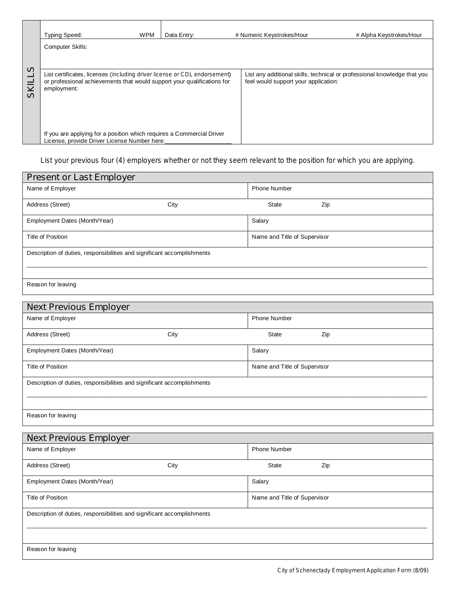|                                                                                                                                                                                          | <b>Typing Speed:</b>                                                                                                  | <b>WPM</b> | Data Entry: | # Numeric Keystrokes/Hour            | # Alpha Keystrokes/Hour                                                  |
|------------------------------------------------------------------------------------------------------------------------------------------------------------------------------------------|-----------------------------------------------------------------------------------------------------------------------|------------|-------------|--------------------------------------|--------------------------------------------------------------------------|
|                                                                                                                                                                                          | <b>Computer Skills:</b>                                                                                               |            |             |                                      |                                                                          |
|                                                                                                                                                                                          |                                                                                                                       |            |             |                                      |                                                                          |
| S)<br>List certificates, licenses (including driver license or CDL endorsement)<br>or professional achievements that would support your qualifications for<br>_<br>₹<br>employment:<br>ທ |                                                                                                                       |            |             | feel would support your application: | List any additional skills, technical or professional knowledge that you |
|                                                                                                                                                                                          | If you are applying for a position which requires a Commercial Driver<br>License, provide Driver License Number here: |            |             |                                      |                                                                          |

*List your previous four (4) employers whether or not they seem relevant to the position for which you are applying.* 

| <b>Present or Last Employer</b>                                         |      |                              |     |  |
|-------------------------------------------------------------------------|------|------------------------------|-----|--|
| Name of Employer                                                        |      | <b>Phone Number</b>          |     |  |
| Address (Street)                                                        | City | <b>State</b>                 | Zip |  |
| Employment Dates (Month/Year)                                           |      | Salary                       |     |  |
| Title of Position                                                       |      | Name and Title of Supervisor |     |  |
| Description of duties, responsibilities and significant accomplishments |      |                              |     |  |
| Reason for leaving                                                      |      |                              |     |  |

| <b>Next Previous Employer</b>                                           |      |                              |     |  |
|-------------------------------------------------------------------------|------|------------------------------|-----|--|
| Name of Employer                                                        |      | <b>Phone Number</b>          |     |  |
| Address (Street)                                                        | City | State                        | Zip |  |
| Employment Dates (Month/Year)                                           |      | Salary                       |     |  |
| Title of Position                                                       |      | Name and Title of Supervisor |     |  |
| Description of duties, responsibilities and significant accomplishments |      |                              |     |  |
| Reason for leaving                                                      |      |                              |     |  |

| <b>Next Previous Employer</b>                                           |      |                              |     |  |
|-------------------------------------------------------------------------|------|------------------------------|-----|--|
| Name of Employer                                                        |      | <b>Phone Number</b>          |     |  |
| Address (Street)                                                        | City | State                        | Zip |  |
| Employment Dates (Month/Year)                                           |      | Salary                       |     |  |
| Title of Position                                                       |      | Name and Title of Supervisor |     |  |
| Description of duties, responsibilities and significant accomplishments |      |                              |     |  |
| Reason for leaving                                                      |      |                              |     |  |